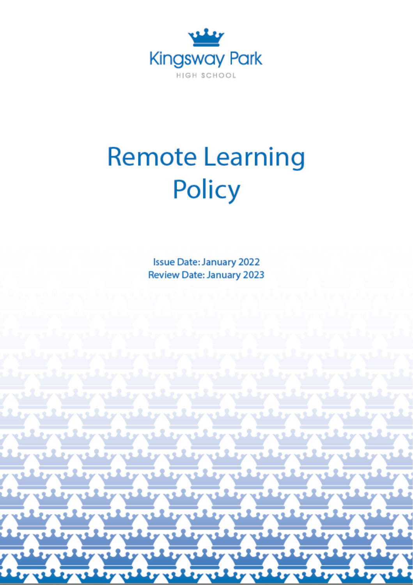

# **Remote Learning** Policy

**Issue Date: January 2022 Review Date: January 2023**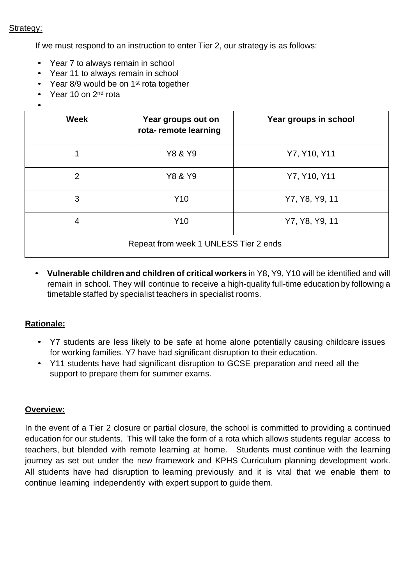#### Strategy:

If we must respond to an instruction to enter Tier 2, our strategy is as follows:

- Year 7 to always remain in school
- Year 11 to always remain in school
- Year 8/9 would be on 1<sup>st</sup> rota together
- Year 10 on 2<sup>nd</sup> rota

| <b>Week</b>    | Year groups out on<br>rota-remote learning | Year groups in school |
|----------------|--------------------------------------------|-----------------------|
| 1              | Y8 & Y9                                    | Y7, Y10, Y11          |
| $\overline{2}$ | Y8 & Y9                                    | Y7, Y10, Y11          |
| 3              | Y <sub>10</sub>                            | Y7, Y8, Y9, 11        |
| 4              | Y <sub>10</sub>                            | Y7, Y8, Y9, 11        |
|                | Repeat from week 1 UNLESS Tier 2 ends      |                       |

• **Vulnerable children and children of critical workers** in Y8, Y9, Y10 will be identified and will remain in school. They will continue to receive a high-quality full-time education by following a timetable staffed by specialist teachers in specialist rooms.

## **Rationale:**

- Y7 students are less likely to be safe at home alone potentially causing childcare issues for working families. Y7 have had significant disruption to their education.
- Y11 students have had significant disruption to GCSE preparation and need all the support to prepare them for summer exams.

#### **Overview:**

In the event of a Tier 2 closure or partial closure, the school is committed to providing a continued education for our students. This will take the form of a rota which allows students regular access to teachers, but blended with remote learning at home. Students must continue with the learning journey as set out under the new framework and KPHS Curriculum planning development work. All students have had disruption to learning previously and it is vital that we enable them to continue learning independently with expert support to guide them.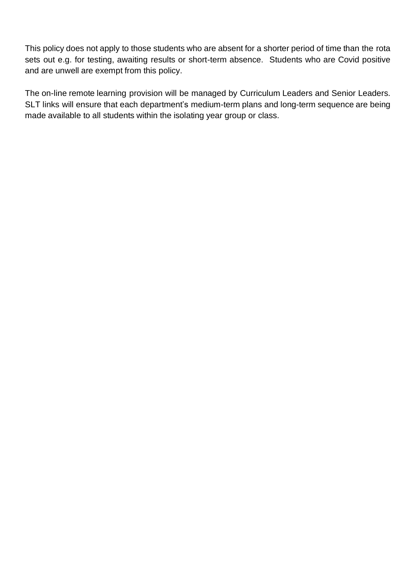This policy does not apply to those students who are absent for a shorter period of time than the rota sets out e.g. for testing, awaiting results or short-term absence. Students who are Covid positive and are unwell are exempt from this policy.

The on-line remote learning provision will be managed by Curriculum Leaders and Senior Leaders. SLT links will ensure that each department's medium-term plans and long-term sequence are being made available to all students within the isolating year group or class.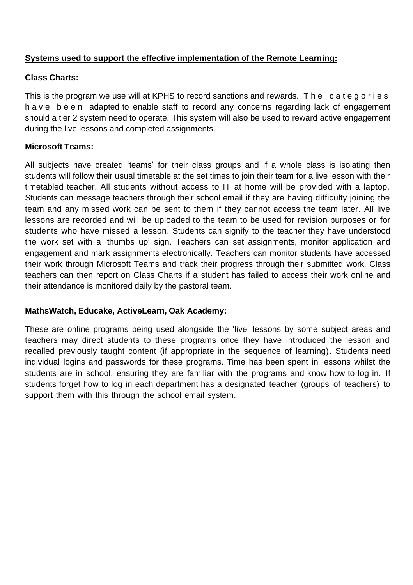# **Systems used to support the effective implementation of the Remote Learning:**

# **Class Charts:**

This is the program we use will at KPHS to record sanctions and rewards. The categories h a v e b e e n adapted to enable staff to record any concerns regarding lack of engagement should a tier 2 system need to operate. This system will also be used to reward active engagement during the live lessons and completed assignments.

# **Microsoft Teams:**

All subjects have created 'teams' for their class groups and if a whole class is isolating then students will follow their usual timetable at the set times to join their team for a live lesson with their timetabled teacher. All students without access to IT at home will be provided with a laptop. Students can message teachers through their school email if they are having difficulty joining the team and any missed work can be sent to them if they cannot access the team later. All live lessons are recorded and will be uploaded to the team to be used for revision purposes or for students who have missed a lesson. Students can signify to the teacher they have understood the work set with a 'thumbs up' sign. Teachers can set assignments, monitor application and engagement and mark assignments electronically. Teachers can monitor students have accessed their work through Microsoft Teams and track their progress through their submitted work. Class teachers can then report on Class Charts if a student has failed to access their work online and their attendance is monitored daily by the pastoral team.

# **MathsWatch, Educake, ActiveLearn, Oak Academy:**

These are online programs being used alongside the 'live' lessons by some subject areas and teachers may direct students to these programs once they have introduced the lesson and recalled previously taught content (if appropriate in the sequence of learning). Students need individual logins and passwords for these programs. Time has been spent in lessons whilst the students are in school, ensuring they are familiar with the programs and know how to log in. If students forget how to log in each department has a designated teacher (groups of teachers) to support them with this through the school email system.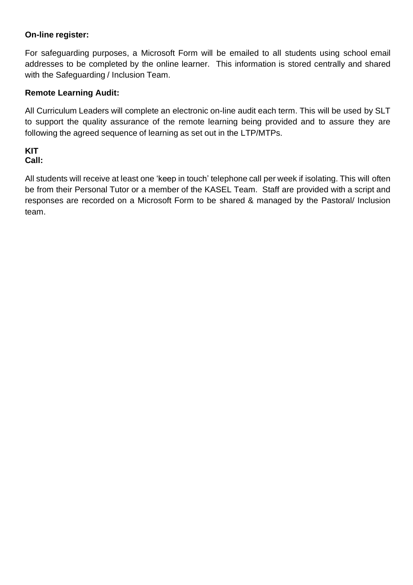## **On-line register:**

For safeguarding purposes, a Microsoft Form will be emailed to all students using school email addresses to be completed by the online learner. This information is stored centrally and shared with the Safeguarding / Inclusion Team.

# **Remote Learning Audit:**

All Curriculum Leaders will complete an electronic on-line audit each term. This will be used by SLT to support the quality assurance of the remote learning being provided and to assure they are following the agreed sequence of learning as set out in the LTP/MTPs.

## **KIT Call:**

All students will receive at least one 'keep in touch' telephone call per week if isolating. This will often be from their Personal Tutor or a member of the KASEL Team. Staff are provided with a script and responses are recorded on a Microsoft Form to be shared & managed by the Pastoral/ Inclusion team.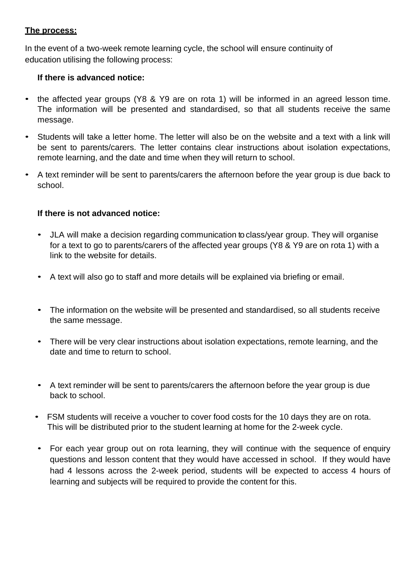## **The process:**

In the event of a two-week remote learning cycle, the school will ensure continuity of education utilising the following process:

## **If there is advanced notice:**

- the affected year groups (Y8 & Y9 are on rota 1) will be informed in an agreed lesson time. The information will be presented and standardised, so that all students receive the same message.
- Students will take a letter home. The letter will also be on the website and a text with a link will be sent to parents/carers. The letter contains clear instructions about isolation expectations, remote learning, and the date and time when they will return to school.
- A text reminder will be sent to parents/carers the afternoon before the year group is due back to school.

## **If there is not advanced notice:**

- JLA will make a decision regarding communication to class/year group. They will organise for a text to go to parents/carers of the affected year groups (Y8 & Y9 are on rota 1) with a link to the website for details.
- A text will also go to staff and more details will be explained via briefing or email.
- The information on the website will be presented and standardised, so all students receive the same message.
- There will be very clear instructions about isolation expectations, remote learning, and the date and time to return to school.
- A text reminder will be sent to parents/carers the afternoon before the year group is due back to school.
- FSM students will receive a voucher to cover food costs for the 10 days they are on rota. This will be distributed prior to the student learning at home for the 2-week cycle.
- For each year group out on rota learning, they will continue with the sequence of enquiry questions and lesson content that they would have accessed in school. If they would have had 4 lessons across the 2-week period, students will be expected to access 4 hours of learning and subjects will be required to provide the content for this.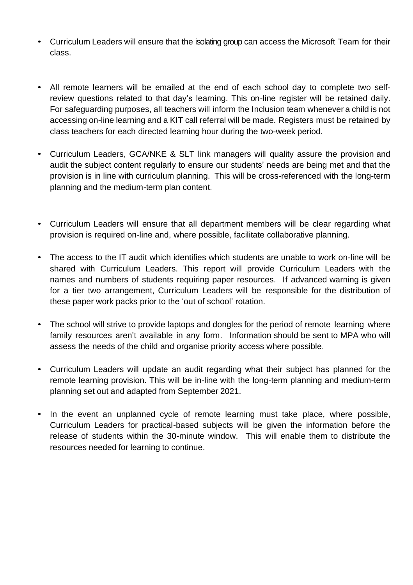- Curriculum Leaders will ensure that the isolating group can access the Microsoft Team for their class.
- All remote learners will be emailed at the end of each school day to complete two selfreview questions related to that day's learning. This on-line register will be retained daily. For safeguarding purposes, all teachers will inform the Inclusion team whenever a child is not accessing on-line learning and a KIT call referral will be made. Registers must be retained by class teachers for each directed learning hour during the two-week period.
- Curriculum Leaders, GCA/NKE & SLT link managers will quality assure the provision and audit the subject content regularly to ensure our students' needs are being met and that the provision is in line with curriculum planning. This will be cross-referenced with the long-term planning and the medium-term plan content.
- Curriculum Leaders will ensure that all department members will be clear regarding what provision is required on-line and, where possible, facilitate collaborative planning.
- The access to the IT audit which identifies which students are unable to work on-line will be shared with Curriculum Leaders. This report will provide Curriculum Leaders with the names and numbers of students requiring paper resources. If advanced warning is given for a tier two arrangement, Curriculum Leaders will be responsible for the distribution of these paper work packs prior to the 'out of school' rotation.
- The school will strive to provide laptops and dongles for the period of remote learning where family resources aren't available in any form. Information should be sent to MPA who will assess the needs of the child and organise priority access where possible.
- Curriculum Leaders will update an audit regarding what their subject has planned for the remote learning provision. This will be in-line with the long-term planning and medium-term planning set out and adapted from September 2021.
- In the event an unplanned cycle of remote learning must take place, where possible, Curriculum Leaders for practical-based subjects will be given the information before the release of students within the 30-minute window. This will enable them to distribute the resources needed for learning to continue.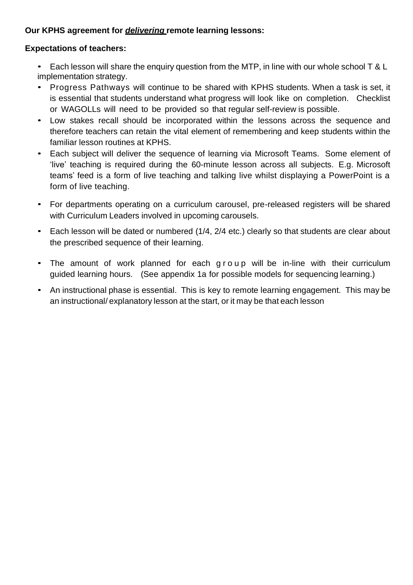# **Our KPHS agreement for** *delivering* **remote learning lessons:**

## **Expectations of teachers:**

- Each lesson will share the enquiry question from the MTP, in line with our whole school T & L implementation strategy.
- Progress Pathways will continue to be shared with KPHS students. When a task is set, it is essential that students understand what progress will look like on completion. Checklist or WAGOLLs will need to be provided so that regular self-review is possible.
- Low stakes recall should be incorporated within the lessons across the sequence and therefore teachers can retain the vital element of remembering and keep students within the familiar lesson routines at KPHS.
- Each subject will deliver the sequence of learning via Microsoft Teams. Some element of 'live' teaching is required during the 60-minute lesson across all subjects. E.g. Microsoft teams' feed is a form of live teaching and talking live whilst displaying a PowerPoint is a form of live teaching.
- For departments operating on a curriculum carousel, pre-released registers will be shared with Curriculum Leaders involved in upcoming carousels.
- Each lesson will be dated or numbered (1/4, 2/4 etc.) clearly so that students are clear about the prescribed sequence of their learning.
- The amount of work planned for each g r o u p will be in-line with their curriculum guided learning hours. (See appendix 1a for possible models for sequencing learning.)
- An instructional phase is essential. This is key to remote learning engagement. This may be an instructional/ explanatory lesson at the start, or it may be that each lesson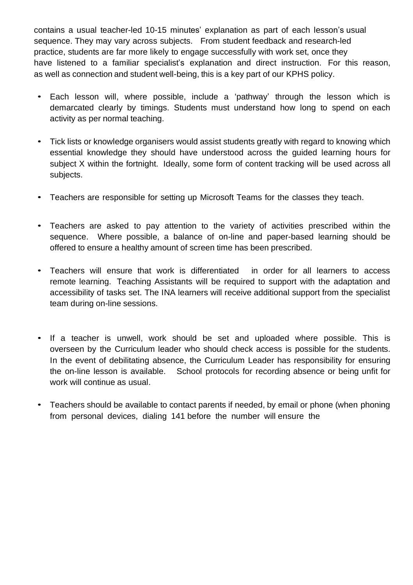contains a usual teacher-led 10-15 minutes' explanation as part of each lesson's usual sequence. They may vary across subjects. From student feedback and research-led practice, students are far more likely to engage successfully with work set, once they have listened to a familiar specialist's explanation and direct instruction. For this reason, as well as connection and student well-being, this is a key part of our KPHS policy.

- Each lesson will, where possible, include a 'pathway' through the lesson which is demarcated clearly by timings. Students must understand how long to spend on each activity as per normal teaching.
- Tick lists or knowledge organisers would assist students greatly with regard to knowing which essential knowledge they should have understood across the guided learning hours for subject X within the fortnight. Ideally, some form of content tracking will be used across all subjects.
- Teachers are responsible for setting up Microsoft Teams for the classes they teach.
- Teachers are asked to pay attention to the variety of activities prescribed within the sequence. Where possible, a balance of on-line and paper-based learning should be offered to ensure a healthy amount of screen time has been prescribed.
- Teachers will ensure that work is differentiated in order for all learners to access remote learning. Teaching Assistants will be required to support with the adaptation and accessibility of tasks set. The INA learners will receive additional support from the specialist team during on-line sessions.
- If a teacher is unwell, work should be set and uploaded where possible. This is overseen by the Curriculum leader who should check access is possible for the students. In the event of debilitating absence, the Curriculum Leader has responsibility for ensuring the on-line lesson is available. School protocols for recording absence or being unfit for work will continue as usual.
- Teachers should be available to contact parents if needed, by email or phone (when phoning from personal devices, dialing 141 before the number will ensure the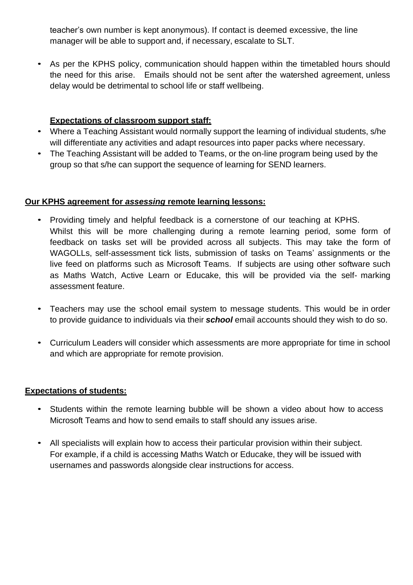teacher's own number is kept anonymous). If contact is deemed excessive, the line manager will be able to support and, if necessary, escalate to SLT.

• As per the KPHS policy, communication should happen within the timetabled hours should the need for this arise. Emails should not be sent after the watershed agreement, unless delay would be detrimental to school life or staff wellbeing.

# **Expectations of classroom support staff:**

- Where a Teaching Assistant would normally support the learning of individual students, s/he will differentiate any activities and adapt resources into paper packs where necessary.
- The Teaching Assistant will be added to Teams, or the on-line program being used by the group so that s/he can support the sequence of learning for SEND learners.

## **Our KPHS agreement for** *assessing* **remote learning lessons:**

- Providing timely and helpful feedback is a cornerstone of our teaching at KPHS. Whilst this will be more challenging during a remote learning period, some form of feedback on tasks set will be provided across all subjects. This may take the form of WAGOLLs, self-assessment tick lists, submission of tasks on Teams' assignments or the live feed on platforms such as Microsoft Teams. If subjects are using other software such as Maths Watch, Active Learn or Educake, this will be provided via the self- marking assessment feature.
- Teachers may use the school email system to message students. This would be in order to provide guidance to individuals via their *school* email accounts should they wish to do so.
- Curriculum Leaders will consider which assessments are more appropriate for time in school and which are appropriate for remote provision.

## **Expectations of students:**

- Students within the remote learning bubble will be shown a video about how to access Microsoft Teams and how to send emails to staff should any issues arise.
- All specialists will explain how to access their particular provision within their subject. For example, if a child is accessing Maths Watch or Educake, they will be issued with usernames and passwords alongside clear instructions for access.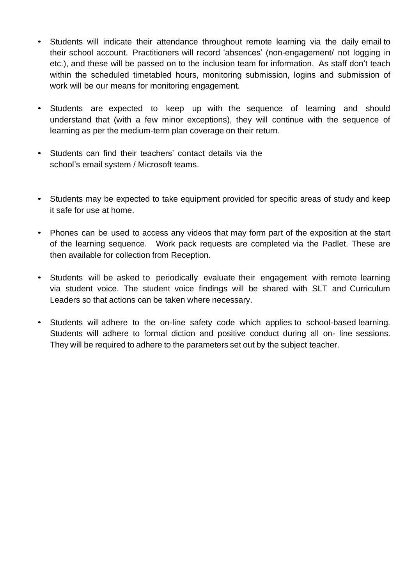- Students will indicate their attendance throughout remote learning via the daily email to their school account. Practitioners will record 'absences' (non-engagement/ not logging in etc.), and these will be passed on to the inclusion team for information. As staff don't teach within the scheduled timetabled hours, monitoring submission, logins and submission of work will be our means for monitoring engagement.
- Students are expected to keep up with the sequence of learning and should understand that (with a few minor exceptions), they will continue with the sequence of learning as per the medium-term plan coverage on their return.
- Students can find their teachers' contact details via the school's email system / Microsoft teams.
- Students may be expected to take equipment provided for specific areas of study and keep it safe for use at home.
- Phones can be used to access any videos that may form part of the exposition at the start of the learning sequence. Work pack requests are completed via the Padlet. These are then available for collection from Reception.
- Students will be asked to periodically evaluate their engagement with remote learning via student voice. The student voice findings will be shared with SLT and Curriculum Leaders so that actions can be taken where necessary.
- Students will adhere to the on-line safety code which applies to school-based learning. Students will adhere to formal diction and positive conduct during all on- line sessions. They will be required to adhere to the parameters set out by the subject teacher.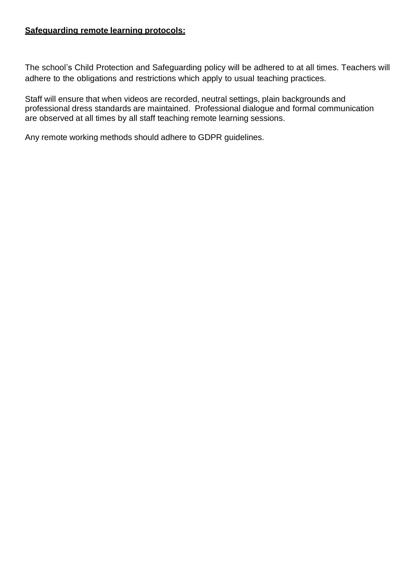## **Safeguarding remote learning protocols:**

The school's Child Protection and Safeguarding policy will be adhered to at all times. Teachers will adhere to the obligations and restrictions which apply to usual teaching practices.

Staff will ensure that when videos are recorded, neutral settings, plain backgrounds and professional dress standards are maintained. Professional dialogue and formal communication are observed at all times by all staff teaching remote learning sessions.

Any remote working methods should adhere to GDPR guidelines.